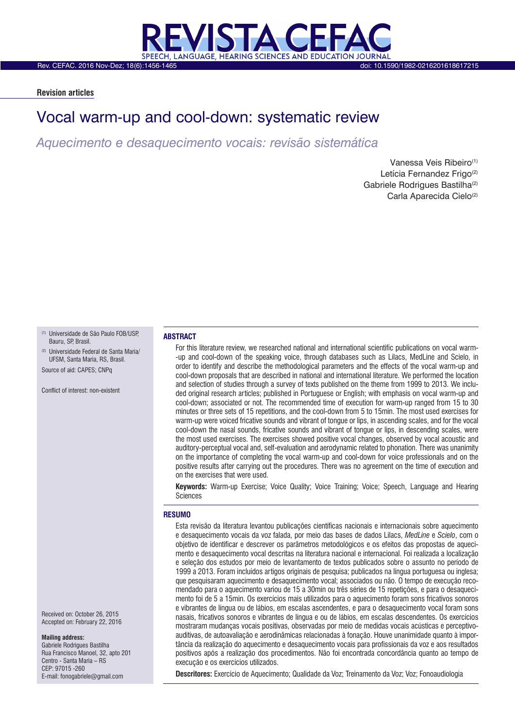

#### **Revision articles**

# Vocal warm-up and cool-down: systematic review

*Aquecimento e desaquecimento vocais: revisão sistemática*

Vanessa Veis Ribeiro<sup>(1)</sup> Letícia Fernandez Frigo<sup>(2)</sup> Gabriele Rodrigues Bastilha<sup>(2)</sup> Carla Aparecida Cielo<sup>(2)</sup>

(1) Universidade de São Paulo FOB/USP, Bauru, SP, Brasil.

(2) Universidade Federal de Santa Maria/ UFSM, Santa Maria, RS, Brasil. Source of aid: CAPES: CNPq

Conflict of interest: non-existent

Received on: October 26, 2015 Accepted on: February 22, 2016

E-mail: fonogabriele@gmail.com

**Mailing address:** Gabriele Rodrigues Bastilha Rua Francisco Manoel, 32, apto 201 Centro - Santa Maria – RS CEP: 97015 -260

#### **ABSTRACT**

For this literature review, we researched national and international scientific publications on vocal warm- -up and cool-down of the speaking voice, through databases such as Lilacs, MedLine and Scielo, in order to identify and describe the methodological parameters and the effects of the vocal warm-up and cool-down proposals that are described in national and international literature. We performed the location and selection of studies through a survey of texts published on the theme from 1999 to 2013. We included original research articles; published in Portuguese or English; with emphasis on vocal warm-up and cool-down; associated or not. The recommended time of execution for warm-up ranged from 15 to 30 minutes or three sets of 15 repetitions, and the cool-down from 5 to 15min. The most used exercises for warm-up were voiced fricative sounds and vibrant of tongue or lips, in ascending scales, and for the vocal cool-down the nasal sounds, fricative sounds and vibrant of tongue or lips, in descending scales, were the most used exercises. The exercises showed positive vocal changes, observed by vocal acoustic and auditory-perceptual vocal and, self-evaluation and aerodynamic related to phonation. There was unanimity on the importance of completing the vocal warm-up and cool-down for voice professionals and on the positive results after carrying out the procedures. There was no agreement on the time of execution and on the exercises that were used.

**Keywords:** Warm-up Exercise; Voice Quality; Voice Training; Voice; Speech, Language and Hearing Sciences

#### **RESUMO**

Esta revisão da literatura levantou publicações científicas nacionais e internacionais sobre aquecimento e desaquecimento vocais da voz falada, por meio das bases de dados Lilacs, *MedLine* e *Scielo*, com o objetivo de identificar e descrever os parâmetros metodológicos e os efeitos das propostas de aquecimento e desaquecimento vocal descritas na literatura nacional e internacional. Foi realizada a localização e seleção dos estudos por meio de levantamento de textos publicados sobre o assunto no período de 1999 a 2013. Foram incluídos artigos originais de pesquisa; publicados na língua portuguesa ou inglesa; que pesquisaram aquecimento e desaquecimento vocal; associados ou não. O tempo de execução recomendado para o aquecimento variou de 15 a 30min ou três séries de 15 repetições, e para o desaquecimento foi de 5 a 15min. Os exercícios mais utilizados para o aquecimento foram sons fricativos sonoros e vibrantes de língua ou de lábios, em escalas ascendentes, e para o desaquecimento vocal foram sons nasais, fricativos sonoros e vibrantes de língua e ou de lábios, em escalas descendentes. Os exercícios mostraram mudanças vocais positivas, observadas por meio de medidas vocais acústicas e perceptivoauditivas, de autoavaliação e aerodinâmicas relacionadas à fonação. Houve unanimidade quanto à importância da realização do aquecimento e desaquecimento vocais para profissionais da voz e aos resultados positivos após a realização dos procedimentos. Não foi encontrada concordância quanto ao tempo de execução e os exercícios utilizados.

**Descritores:** Exercício de Aquecimento; Qualidade da Voz; Treinamento da Voz; Voz; Fonoaudiologia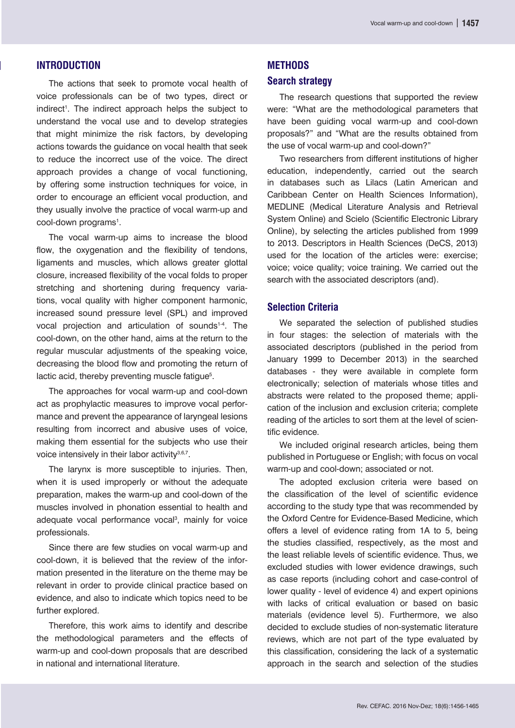### **INTRODUCTION**

The actions that seek to promote vocal health of voice professionals can be of two types, direct or indirect<sup>1</sup>. The indirect approach helps the subject to understand the vocal use and to develop strategies that might minimize the risk factors, by developing actions towards the guidance on vocal health that seek to reduce the incorrect use of the voice. The direct approach provides a change of vocal functioning, by offering some instruction techniques for voice, in order to encourage an efficient vocal production, and they usually involve the practice of vocal warm-up and cool-down programs<sup>1</sup>.

The vocal warm-up aims to increase the blood flow, the oxygenation and the flexibility of tendons, ligaments and muscles, which allows greater glottal closure, increased flexibility of the vocal folds to proper stretching and shortening during frequency variations, vocal quality with higher component harmonic, increased sound pressure level (SPL) and improved vocal projection and articulation of sounds<sup>1-4</sup>. The cool-down, on the other hand, aims at the return to the regular muscular adjustments of the speaking voice, decreasing the blood flow and promoting the return of lactic acid, thereby preventing muscle fatigue<sup>5</sup>.

The approaches for vocal warm-up and cool-down act as prophylactic measures to improve vocal performance and prevent the appearance of laryngeal lesions resulting from incorrect and abusive uses of voice, making them essential for the subjects who use their voice intensively in their labor activity<sup>3,6,7</sup>.

The larynx is more susceptible to injuries. Then, when it is used improperly or without the adequate preparation, makes the warm-up and cool-down of the muscles involved in phonation essential to health and adequate vocal performance vocal<sup>3</sup>, mainly for voice professionals.

Since there are few studies on vocal warm-up and cool-down, it is believed that the review of the information presented in the literature on the theme may be relevant in order to provide clinical practice based on evidence, and also to indicate which topics need to be further explored.

Therefore, this work aims to identify and describe the methodological parameters and the effects of warm-up and cool-down proposals that are described in national and international literature.

### **METHODS**

#### **Search strategy**

The research questions that supported the review were: "What are the methodological parameters that have been guiding vocal warm-up and cool-down proposals?" and "What are the results obtained from the use of vocal warm-up and cool-down?"

Two researchers from different institutions of higher education, independently, carried out the search in databases such as Lilacs (Latin American and Caribbean Center on Health Sciences Information), MEDLINE (Medical Literature Analysis and Retrieval System Online) and Scielo (Scientific Electronic Library Online), by selecting the articles published from 1999 to 2013. Descriptors in Health Sciences (DeCS, 2013) used for the location of the articles were: exercise; voice; voice quality; voice training. We carried out the search with the associated descriptors (and).

### **Selection Criteria**

We separated the selection of published studies in four stages: the selection of materials with the associated descriptors (published in the period from January 1999 to December 2013) in the searched databases - they were available in complete form electronically; selection of materials whose titles and abstracts were related to the proposed theme; application of the inclusion and exclusion criteria; complete reading of the articles to sort them at the level of scientific evidence.

We included original research articles, being them published in Portuguese or English; with focus on vocal warm-up and cool-down; associated or not.

The adopted exclusion criteria were based on the classification of the level of scientific evidence according to the study type that was recommended by the Oxford Centre for Evidence-Based Medicine, which offers a level of evidence rating from 1A to 5, being the studies classified, respectively, as the most and the least reliable levels of scientific evidence. Thus, we excluded studies with lower evidence drawings, such as case reports (including cohort and case-control of lower quality - level of evidence 4) and expert opinions with lacks of critical evaluation or based on basic materials (evidence level 5). Furthermore, we also decided to exclude studies of non-systematic literature reviews, which are not part of the type evaluated by this classification, considering the lack of a systematic approach in the search and selection of the studies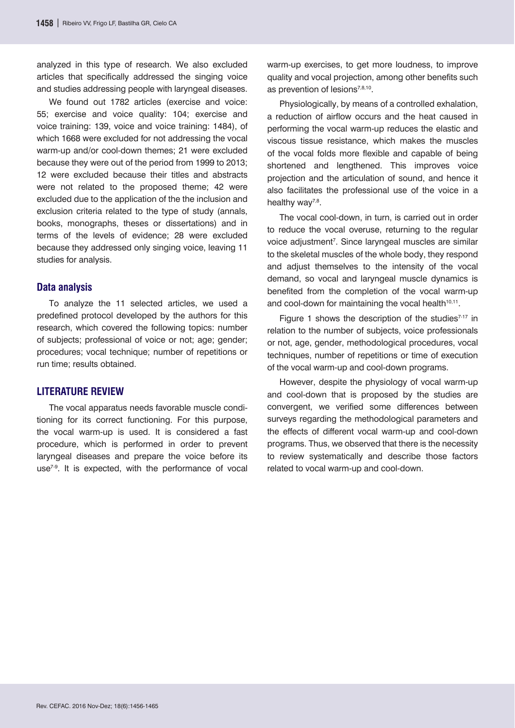analyzed in this type of research. We also excluded articles that specifically addressed the singing voice and studies addressing people with laryngeal diseases.

We found out 1782 articles (exercise and voice: 55; exercise and voice quality: 104; exercise and voice training: 139, voice and voice training: 1484), of which 1668 were excluded for not addressing the vocal warm-up and/or cool-down themes; 21 were excluded because they were out of the period from 1999 to 2013; 12 were excluded because their titles and abstracts were not related to the proposed theme; 42 were excluded due to the application of the the inclusion and exclusion criteria related to the type of study (annals, books, monographs, theses or dissertations) and in terms of the levels of evidence; 28 were excluded because they addressed only singing voice, leaving 11 studies for analysis.

#### **Data analysis**

To analyze the 11 selected articles, we used a predefined protocol developed by the authors for this research, which covered the following topics: number of subjects; professional of voice or not; age; gender; procedures; vocal technique; number of repetitions or run time; results obtained.

### **LITERATURE REVIEW**

The vocal apparatus needs favorable muscle conditioning for its correct functioning. For this purpose, the vocal warm-up is used. It is considered a fast procedure, which is performed in order to prevent laryngeal diseases and prepare the voice before its use<sup>7-9</sup>. It is expected, with the performance of vocal warm-up exercises, to get more loudness, to improve quality and vocal projection, among other benefits such as prevention of lesions<sup>7,8,10</sup>.

Physiologically, by means of a controlled exhalation, a reduction of airflow occurs and the heat caused in performing the vocal warm-up reduces the elastic and viscous tissue resistance, which makes the muscles of the vocal folds more flexible and capable of being shortened and lengthened. This improves voice projection and the articulation of sound, and hence it also facilitates the professional use of the voice in a healthy way<sup>7,8</sup>.

The vocal cool-down, in turn, is carried out in order to reduce the vocal overuse, returning to the regular voice adjustment<sup>7</sup>. Since laryngeal muscles are similar to the skeletal muscles of the whole body, they respond and adjust themselves to the intensity of the vocal demand, so vocal and laryngeal muscle dynamics is benefited from the completion of the vocal warm-up and cool-down for maintaining the vocal health $10,11$ .

Figure 1 shows the description of the studies $7-17$  in relation to the number of subjects, voice professionals or not, age, gender, methodological procedures, vocal techniques, number of repetitions or time of execution of the vocal warm-up and cool-down programs.

However, despite the physiology of vocal warm-up and cool-down that is proposed by the studies are convergent, we verified some differences between surveys regarding the methodological parameters and the effects of different vocal warm-up and cool-down programs. Thus, we observed that there is the necessity to review systematically and describe those factors related to vocal warm-up and cool-down.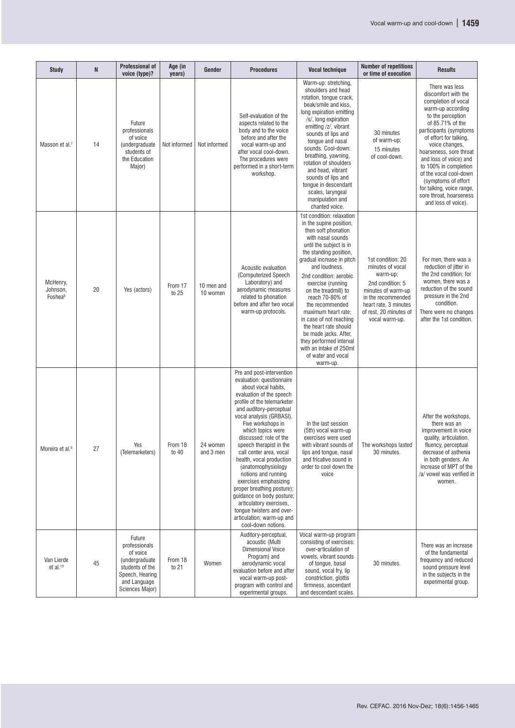| <b>Study</b>                                | N  | <b>Professional of</b><br>voice (type)?                                                                                        | Age (in<br>years)  | Gender                 | <b>Procedures</b>                                                                                                                                                                                                                                                                                                                                                                                                                                                                                                                                                                                 | <b>Vocal technique</b>                                                                                                                                                                                                                                                                                                                                                                                                                                                                                       | <b>Number of repetitions</b><br>or time of execution                                                                                                                                   | <b>Results</b>                                                                                                                                                                                                                                                                                                                                                                                                 |
|---------------------------------------------|----|--------------------------------------------------------------------------------------------------------------------------------|--------------------|------------------------|---------------------------------------------------------------------------------------------------------------------------------------------------------------------------------------------------------------------------------------------------------------------------------------------------------------------------------------------------------------------------------------------------------------------------------------------------------------------------------------------------------------------------------------------------------------------------------------------------|--------------------------------------------------------------------------------------------------------------------------------------------------------------------------------------------------------------------------------------------------------------------------------------------------------------------------------------------------------------------------------------------------------------------------------------------------------------------------------------------------------------|----------------------------------------------------------------------------------------------------------------------------------------------------------------------------------------|----------------------------------------------------------------------------------------------------------------------------------------------------------------------------------------------------------------------------------------------------------------------------------------------------------------------------------------------------------------------------------------------------------------|
| Masson et al. <sup>7</sup>                  | 14 | Future<br>professionals<br>of voice<br>(undergraduate<br>students of<br>the Education<br>Major)                                | Not informed       | Not informed           | Self-evaluation of the<br>aspects related to the<br>body and to the voice<br>before and after the<br>vocal warm-up and<br>after vocal cool-down.<br>The procedures were<br>performed in a short-term<br>workshop.                                                                                                                                                                                                                                                                                                                                                                                 | Warm-up: stretching,<br>shoulders and head<br>rotation, tongue crack,<br>beak/smile and kiss,<br>long expiration emitting<br>/s/, long expiration<br>emitting /z/, vibrant<br>sounds of lips and<br>tongue and nasal<br>sounds. Cool-down:<br>breathing, yawning,<br>rotation of shoulders<br>and head, vibrant<br>sounds of lips and<br>tongue in descendant<br>scales, laryngeal<br>manipulation and<br>chanted voice.                                                                                     | 30 minutes<br>of warm-up;<br>15 minutes<br>of cool-down.                                                                                                                               | There was less<br>discomfort with the<br>completion of vocal<br>warm-up according<br>to the perception<br>of 85.71% of the<br>participants (symptoms<br>of effort for talking,<br>voice changes,<br>hoarseness, sore throat<br>and loss of voice) and<br>to 100% in completion<br>of the vocal cool-down<br>(symptoms of effort<br>for talking, voice range,<br>sore throat, hoarseness<br>and loss of voice). |
| McHenry,<br>Johnson,<br>Foshea <sup>8</sup> | 20 | Yes (actors)                                                                                                                   | From 17<br>to $25$ | 10 men and<br>10 women | Acoustic evaluation<br>(Computerized Speech<br>Laboratory) and<br>aerodynamic measures<br>related to phonation<br>before and after two vocal<br>warm-up protocols.                                                                                                                                                                                                                                                                                                                                                                                                                                | 1st condition: relaxation<br>in the supine position,<br>then soft phonation<br>with nasal sounds<br>until the subject is in<br>the standing position,<br>gradual increase in pitch<br>and loudness.<br>2nd condition: aerobic<br>exercise (running<br>on the treadmill) to<br>reach 70-80% of<br>the recommended<br>maximum heart rate;<br>in case of not reaching<br>the heart rate should<br>be made jacks. After,<br>they performed interval<br>with an intake of 250ml<br>of water and vocal<br>warm-up. | 1st condition: 20<br>minutes of vocal<br>warm-up;<br>2nd condition: 5<br>minutes of warm-up<br>in the recommended<br>heart rate, 3 minutes<br>of rest, 20 minutes of<br>vocal warm-up. | For men, there was a<br>reduction of jitter in<br>the 2nd condition; for<br>women, there was a<br>reduction of the sound<br>pressure in the 2nd<br>condition.<br>There were no changes<br>after the 1st condition.                                                                                                                                                                                             |
| Moreira et al. <sup>9</sup>                 | 27 | Yes<br>(Telemarketers)                                                                                                         | From 18<br>to 40   | 24 women<br>and 3 men  | Pre and post-intervention<br>evaluation: questionnaire<br>about vocal habits,<br>evaluation of the speech<br>profile of the telemarketer<br>and auditory-perceptual<br>vocal analysis (GRBASI).<br>Five workshops in<br>which topics were<br>discussed: role of the<br>speech therapist in the<br>call center area, vocal<br>health, vocal production<br>(anatomophysiology<br>notions and running<br>exercises emphasizing<br>proper breathing posture);<br>guidance on body posture;<br>articulatory exercises,<br>tongue twisters and over-<br>articulation; warm-up and<br>cool-down notions. | In the last session<br>(5th) vocal warm-up<br>exercises were used<br>with vibrant sounds of<br>lips and tonque, nasal<br>and fricative sound in<br>order to cool down the<br>voice                                                                                                                                                                                                                                                                                                                           | The workshops lasted<br>30 minutes.                                                                                                                                                    | After the workshops,<br>there was an<br>improvement in voice<br>quality, articulation,<br>fluency, perceptual<br>decrease of asthenia<br>in both genders. An<br>increase of MPT of the<br>/a/ vowel was verified in<br>women.                                                                                                                                                                                  |
| Van Lierde<br>$et$ al. $10$                 | 45 | Future<br>professionals<br>of voice<br>(undergraduate<br>students of the<br>Speech, Hearing<br>and Language<br>Sciences Major) | From 18<br>to 21   | Women                  | Auditory-perceptual,<br>acoustic (Multi<br><b>Dimensional Voice</b><br>Program) and<br>aerodynamic vocal<br>evaluation before and after<br>vocal warm-up post-<br>program with control and<br>experimental groups.                                                                                                                                                                                                                                                                                                                                                                                | Vocal warm-up program<br>consisting of exercises:<br>over-articulation of<br>vowels, vibrant sounds<br>of tongue, basal<br>sound, vocal fry, lip<br>constriction, glottis<br>firmness, ascendant<br>and descendant scales.                                                                                                                                                                                                                                                                                   | 30 minutes.                                                                                                                                                                            | There was an increase<br>of the fundamental<br>frequency and reduced<br>sound pressure level<br>in the subjects in the<br>experimental group.                                                                                                                                                                                                                                                                  |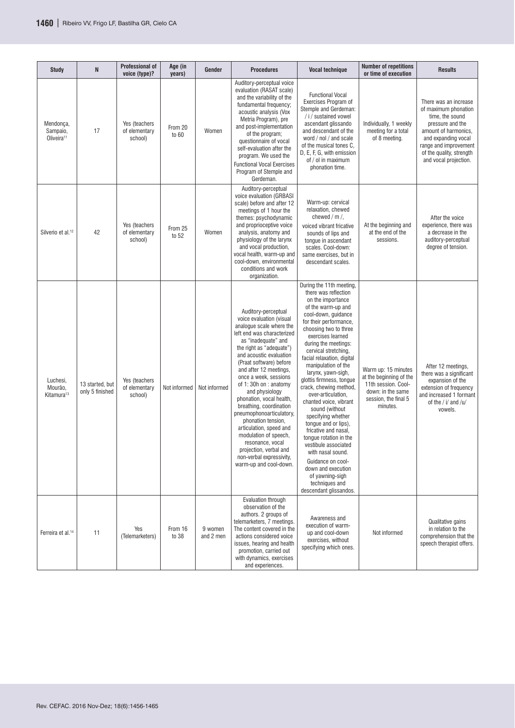| <b>Study</b>                                    | N                                  | <b>Professional of</b><br>voice (type)?   | Age (in<br>years) | Gender               | <b>Procedures</b>                                                                                                                                                                                                                                                                                                                                                                                                                                                                                                                                                                 | <b>Vocal technique</b>                                                                                                                                                                                                                                                                                                                                                                                                                                                                                                                                                                                                                                                                               | <b>Number of repetitions</b><br>or time of execution                                                                           | <b>Results</b>                                                                                                                                                                                                    |
|-------------------------------------------------|------------------------------------|-------------------------------------------|-------------------|----------------------|-----------------------------------------------------------------------------------------------------------------------------------------------------------------------------------------------------------------------------------------------------------------------------------------------------------------------------------------------------------------------------------------------------------------------------------------------------------------------------------------------------------------------------------------------------------------------------------|------------------------------------------------------------------------------------------------------------------------------------------------------------------------------------------------------------------------------------------------------------------------------------------------------------------------------------------------------------------------------------------------------------------------------------------------------------------------------------------------------------------------------------------------------------------------------------------------------------------------------------------------------------------------------------------------------|--------------------------------------------------------------------------------------------------------------------------------|-------------------------------------------------------------------------------------------------------------------------------------------------------------------------------------------------------------------|
| Mendonça,<br>Sampaio,<br>Oliveira <sup>11</sup> | 17                                 | Yes (teachers<br>of elementary<br>school) | From 20<br>to 60  | Women                | Auditory-perceptual voice<br>evaluation (RASAT scale)<br>and the variability of the<br>fundamental frequency;<br>acoustic analysis (Vox<br>Metria Program), pre<br>and post-implementation<br>of the program;<br>questionnaire of vocal<br>self-evaluation after the<br>program. We used the<br><b>Functional Vocal Exercises</b><br>Program of Stemple and<br>Gerdeman.                                                                                                                                                                                                          | <b>Functional Vocal</b><br>Exercises Program of<br>Stemple and Gerdeman:<br>/i/sustained vowel<br>ascendant glissando<br>and descendant of the<br>word / nol / and scale<br>of the musical tones C,<br>D, E, F, G, with emission<br>of / ol in maximum<br>phonation time.                                                                                                                                                                                                                                                                                                                                                                                                                            | Individually, 1 weekly<br>meeting for a total<br>of 8 meeting.                                                                 | There was an increase<br>of maximum phonation<br>time, the sound<br>pressure and the<br>amount of harmonics,<br>and expanding vocal<br>range and improvement<br>of the quality, strength<br>and vocal projection. |
| Silverio et al. <sup>12</sup>                   | 42                                 | Yes (teachers<br>of elementary<br>school) | From 25<br>to 52  | Women                | Auditory-perceptual<br>voice evaluation (GRBASI<br>scale) before and after 12<br>meetings of 1 hour the<br>themes: psychodynamic<br>and proprioceptive voice<br>analysis, anatomy and<br>physiology of the larynx<br>and vocal production,<br>vocal health, warm-up and<br>cool-down, environmental<br>conditions and work<br>organization.                                                                                                                                                                                                                                       | Warm-up: cervical<br>relaxation, chewed<br>chewed $/m/$ ,<br>voiced vibrant fricative<br>sounds of lips and<br>tonque in ascendant<br>scales. Cool-down:<br>same exercises, but in<br>descendant scales.                                                                                                                                                                                                                                                                                                                                                                                                                                                                                             | At the beginning and<br>at the end of the<br>sessions.                                                                         | After the voice<br>experience, there was<br>a decrease in the<br>auditory-perceptual<br>degree of tension.                                                                                                        |
| Luchesi,<br>Mourão,<br>Kitamura <sup>13</sup>   | 13 started, but<br>only 5 finished | Yes (teachers<br>of elementary<br>school) | Not informed      | Not informed         | Auditory-perceptual<br>voice evaluation (visual<br>analogue scale where the<br>left end was characterized<br>as "inadequate" and<br>the right as "adequate")<br>and acoustic evaluation<br>(Praat software) before<br>and after 12 meetings,<br>once a week, sessions<br>of 1:30h on : anatomy<br>and physiology<br>phonation, vocal health,<br>breathing, coordination<br>pneumophonoarticulatory,<br>phonation tension,<br>articulation, speed and<br>modulation of speech,<br>resonance, vocal<br>projection, verbal and<br>non-verbal expressivity,<br>warm-up and cool-down. | During the 11th meeting,<br>there was reflection<br>on the importance<br>of the warm-up and<br>cool-down, guidance<br>for their performance,<br>choosing two to three<br>exercises learned<br>during the meetings:<br>cervical stretching,<br>facial relaxation, digital<br>manipulation of the<br>larynx, yawn-sigh,<br>glottis firmness, tongue<br>crack, chewing method,<br>over-articulation,<br>chanted voice, vibrant<br>sound (without<br>specifying whether<br>tongue and or lips),<br>fricative and nasal,<br>tongue rotation in the<br>vestibule associated<br>with nasal sound.<br>Guidance on cool-<br>down and execution<br>of yawning-sigh<br>techniques and<br>descendant glissandos. | Warm up: 15 minutes<br>at the beginning of the<br>11th session. Cool-<br>down: in the same<br>session, the final 5<br>minutes. | After 12 meetings,<br>there was a significant<br>expansion of the<br>extension of frequency<br>and increased 1 formant<br>of the $/ i /$ and $/ u /$<br>vowels.                                                   |
| Ferreira et al. <sup>14</sup>                   | 11                                 | Yes<br>(Telemarketers)                    | From 16<br>to 38  | 9 women<br>and 2 men | Evaluation through<br>observation of the<br>authors. 2 groups of<br>telemarketers, 7 meetings.<br>The content covered in the<br>actions considered voice<br>issues, hearing and health<br>promotion, carried out<br>with dynamics, exercises<br>and experiences.                                                                                                                                                                                                                                                                                                                  | Awareness and<br>execution of warm-<br>up and cool-down<br>exercises, without<br>specifying which ones.                                                                                                                                                                                                                                                                                                                                                                                                                                                                                                                                                                                              | Not informed                                                                                                                   | Qualitative gains<br>in relation to the<br>comprehension that the<br>speech therapist offers.                                                                                                                     |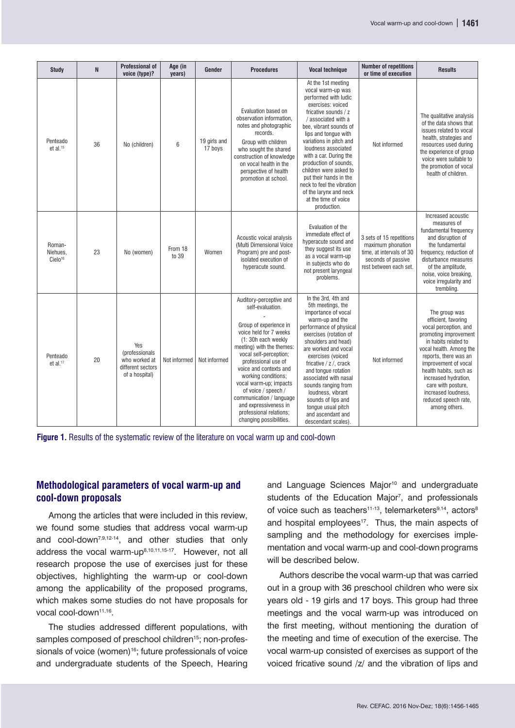| <b>Study</b>                              | N  | <b>Professional of</b><br>voice (type)?                                        | Age (in<br>years) | Gender                  | <b>Procedures</b>                                                                                                                                                                                                                                                                                                                                                                                                | <b>Vocal technique</b>                                                                                                                                                                                                                                                                                                                                                                                                                       | <b>Number of repetitions</b><br>or time of execution                                                                      | <b>Results</b>                                                                                                                                                                                                                                                                                                                     |
|-------------------------------------------|----|--------------------------------------------------------------------------------|-------------------|-------------------------|------------------------------------------------------------------------------------------------------------------------------------------------------------------------------------------------------------------------------------------------------------------------------------------------------------------------------------------------------------------------------------------------------------------|----------------------------------------------------------------------------------------------------------------------------------------------------------------------------------------------------------------------------------------------------------------------------------------------------------------------------------------------------------------------------------------------------------------------------------------------|---------------------------------------------------------------------------------------------------------------------------|------------------------------------------------------------------------------------------------------------------------------------------------------------------------------------------------------------------------------------------------------------------------------------------------------------------------------------|
| Penteado<br>et al. $15$                   | 36 | No (children)                                                                  | 6                 | 19 girls and<br>17 boys | Evaluation based on<br>observation information,<br>notes and photographic<br>records.<br>Group with children<br>who sought the shared<br>construction of knowledge<br>on vocal health in the<br>perspective of health<br>promotion at school.                                                                                                                                                                    | At the 1st meeting<br>vocal warm-up was<br>performed with ludic<br>exercises: voiced<br>fricative sounds / z<br>/associated with a<br>bee, vibrant sounds of<br>lips and tonque with<br>variations in pitch and<br>loudness associated<br>with a car. During the<br>production of sounds,<br>children were asked to<br>put their hands in the<br>neck to feel the vibration<br>of the larynx and neck<br>at the time of voice<br>production. | Not informed                                                                                                              | The qualitative analysis<br>of the data shows that<br>issues related to vocal<br>health, strategies and<br>resources used during<br>the experience of group<br>voice were suitable to<br>the promotion of vocal<br>health of children.                                                                                             |
| Roman-<br>Niehues.<br>Cielo <sup>16</sup> | 23 | No (women)                                                                     | From 18<br>to 39  | Women                   | Acoustic voical analysis<br>(Multi Dimensional Voice<br>Program) pre and post-<br>isolated execution of<br>hyperacute sound.                                                                                                                                                                                                                                                                                     | Evaluation of the<br>immediate effect of<br>hyperacute sound and<br>they suggest its use<br>as a vocal warm-up<br>in subjects who do<br>not present laryngeal<br>problems.                                                                                                                                                                                                                                                                   | 3 sets of 15 repetitions<br>maximum phonation<br>time, at intervals of 30<br>seconds of passive<br>rest between each set. | Increased acoustic<br>measures of<br>fundamental frequency<br>and disruption of<br>the fundamental<br>frequency, reduction of<br>disturbance measures<br>of the amplitude,<br>noise, voice breaking,<br>voice irregularity and<br>trembling.                                                                                       |
| Penteado<br>et al. $17$                   | 20 | Yes<br>(professionals)<br>who worked at<br>different sectors<br>of a hospital) | Not informed      | Not informed            | Auditory-perceptive and<br>self-evaluation.<br>Group of experience in<br>voice held for 7 weeks<br>(1:30h each weekly<br>meeting) with the themes:<br>vocal self-perception;<br>professional use of<br>voice and contexts and<br>working conditions;<br>vocal warm-up; impacts<br>of voice / speech /<br>communication / language<br>and expressiveness in<br>professional relations;<br>changing possibilities. | In the 3rd, 4th and<br>5th meetings, the<br>importance of vocal<br>warm-up and the<br>performance of physical<br>exercises (rotation of<br>shoulders and head)<br>are worked and vocal<br>exercises (voiced<br>fricative / z /, crack<br>and tongue rotation<br>associated with nasal<br>sounds ranging from<br>loudness, vibrant<br>sounds of lips and<br>tongue usual pitch<br>and ascendant and<br>descendant scales).                    | Not informed                                                                                                              | The group was<br>efficient, favoring<br>vocal perception, and<br>promoting improvement<br>in habits related to<br>vocal health. Among the<br>reports, there was an<br>improvement of vocal<br>health habits, such as<br>increased hydration,<br>care with posture,<br>increased loudness,<br>reduced speech rate,<br>among others. |

**Figure 1.** Results of the systematic review of the literature on vocal warm up and cool-down

## **Methodological parameters of vocal warm-up and cool-down proposals**

Among the articles that were included in this review, we found some studies that address vocal warm-up and cool-down7,9,12-14, and other studies that only address the vocal warm-up<sup>8,10,11,15-17</sup>. However, not all research propose the use of exercises just for these objectives, highlighting the warm-up or cool-down among the applicability of the proposed programs, which makes some studies do not have proposals for vocal cool-down<sup>11,16</sup>.

The studies addressed different populations, with samples composed of preschool children<sup>15</sup>; non-professionals of voice (women)<sup>16</sup>; future professionals of voice and undergraduate students of the Speech, Hearing

and Language Sciences Major<sup>10</sup> and undergraduate students of the Education Major<sup>7</sup>, and professionals of voice such as teachers<sup>11-13</sup>, telemarketers<sup>9,14</sup>, actors<sup>8</sup> and hospital employees<sup>17</sup>. Thus, the main aspects of sampling and the methodology for exercises implementation and vocal warm-up and cool-downprograms will be described below.

Authors describe the vocal warm-up that was carried out in a group with 36 preschool children who were six years old - 19 girls and 17 boys. This group had three meetings and the vocal warm-up was introduced on the first meeting, without mentioning the duration of the meeting and time of execution of the exercise. The vocal warm-up consisted of exercises as support of the voiced fricative sound /z/ and the vibration of lips and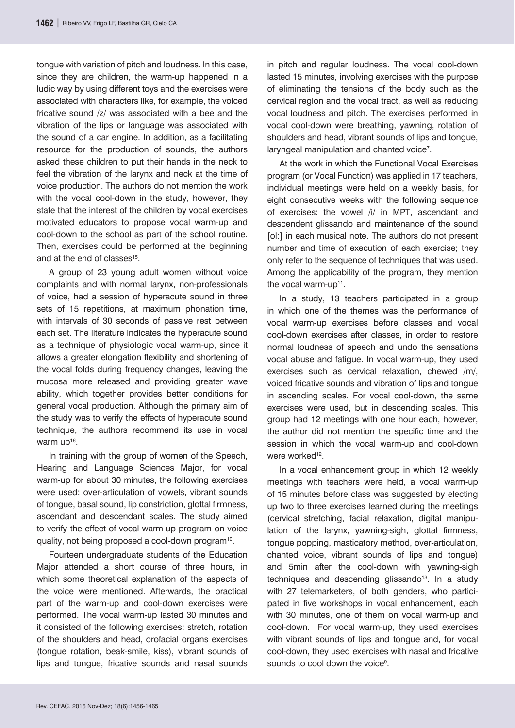tongue with variation of pitch and loudness. In this case, since they are children, the warm-up happened in a ludic way by using different toys and the exercises were associated with characters like, for example, the voiced fricative sound /z/ was associated with a bee and the vibration of the lips or language was associated with the sound of a car engine. In addition, as a facilitating resource for the production of sounds, the authors asked these children to put their hands in the neck to feel the vibration of the larynx and neck at the time of voice production. The authors do not mention the work with the vocal cool-down in the study, however, they state that the interest of the children by vocal exercises motivated educators to propose vocal warm-up and cool-down to the school as part of the school routine. Then, exercises could be performed at the beginning and at the end of classes<sup>15</sup>.

A group of 23 young adult women without voice complaints and with normal larynx, non-professionals of voice, had a session of hyperacute sound in three sets of 15 repetitions, at maximum phonation time, with intervals of 30 seconds of passive rest between each set. The literature indicates the hyperacute sound as a technique of physiologic vocal warm-up, since it allows a greater elongation flexibility and shortening of the vocal folds during frequency changes, leaving the mucosa more released and providing greater wave ability, which together provides better conditions for general vocal production. Although the primary aim of the study was to verify the effects of hyperacute sound technique, the authors recommend its use in vocal warm up<sup>16</sup>.

In training with the group of women of the Speech, Hearing and Language Sciences Major, for vocal warm-up for about 30 minutes, the following exercises were used: over-articulation of vowels, vibrant sounds of tongue, basal sound, lip constriction, glottal firmness, ascendant and descendant scales. The study aimed to verify the effect of vocal warm-up program on voice quality, not being proposed a cool-down program<sup>10</sup>.

Fourteen undergraduate students of the Education Major attended a short course of three hours, in which some theoretical explanation of the aspects of the voice were mentioned. Afterwards, the practical part of the warm-up and cool-down exercises were performed. The vocal warm-up lasted 30 minutes and it consisted of the following exercises: stretch, rotation of the shoulders and head, orofacial organs exercises (tongue rotation, beak-smile, kiss), vibrant sounds of lips and tongue, fricative sounds and nasal sounds

in pitch and regular loudness. The vocal cool-down lasted 15 minutes, involving exercises with the purpose of eliminating the tensions of the body such as the cervical region and the vocal tract, as well as reducing vocal loudness and pitch. The exercises performed in vocal cool-down were breathing, yawning, rotation of shoulders and head, vibrant sounds of lips and tongue, laryngeal manipulation and chanted voice<sup>7</sup>.

At the work in which the Functional Vocal Exercises program (or Vocal Function) was applied in 17 teachers, individual meetings were held on a weekly basis, for eight consecutive weeks with the following sequence of exercises: the vowel /i/ in MPT, ascendant and descendent glissando and maintenance of the sound [ol:] in each musical note. The authors do not present number and time of execution of each exercise; they only refer to the sequence of techniques that was used. Among the applicability of the program, they mention the vocal warm-up<sup>11</sup>.

In a study, 13 teachers participated in a group in which one of the themes was the performance of vocal warm-up exercises before classes and vocal cool-down exercises after classes, in order to restore normal loudness of speech and undo the sensations vocal abuse and fatigue. In vocal warm-up, they used exercises such as cervical relaxation, chewed /m/, voiced fricative sounds and vibration of lips and tongue in ascending scales. For vocal cool-down, the same exercises were used, but in descending scales. This group had 12 meetings with one hour each, however, the author did not mention the specific time and the session in which the vocal warm-up and cool-down were worked<sup>12</sup>.

In a vocal enhancement group in which 12 weekly meetings with teachers were held, a vocal warm-up of 15 minutes before class was suggested by electing up two to three exercises learned during the meetings (cervical stretching, facial relaxation, digital manipulation of the larynx, yawning-sigh, glottal firmness, tongue popping, masticatory method, over-articulation, chanted voice, vibrant sounds of lips and tongue) and 5min after the cool-down with yawning-sigh techniques and descending glissando<sup>13</sup>. In a study with 27 telemarketers, of both genders, who participated in five workshops in vocal enhancement, each with 30 minutes, one of them on vocal warm-up and cool-down. For vocal warm-up, they used exercises with vibrant sounds of lips and tongue and, for vocal cool-down, they used exercises with nasal and fricative sounds to cool down the voice<sup>9</sup>.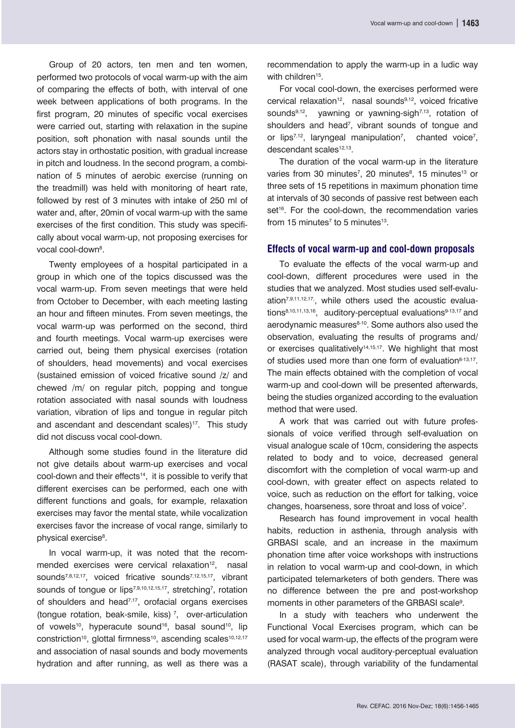Group of 20 actors, ten men and ten women, performed two protocols of vocal warm-up with the aim of comparing the effects of both, with interval of one week between applications of both programs. In the first program, 20 minutes of specific vocal exercises were carried out, starting with relaxation in the supine position, soft phonation with nasal sounds until the actors stay in orthostatic position, with gradual increase in pitch and loudness. In the second program, a combination of 5 minutes of aerobic exercise (running on the treadmill) was held with monitoring of heart rate, followed by rest of 3 minutes with intake of 250 ml of water and, after, 20min of vocal warm-up with the same exercises of the first condition. This study was specifically about vocal warm-up, not proposing exercises for vocal cool-down<sup>8</sup>.

Twenty employees of a hospital participated in a group in which one of the topics discussed was the vocal warm-up. From seven meetings that were held from October to December, with each meeting lasting an hour and fifteen minutes. From seven meetings, the vocal warm-up was performed on the second, third and fourth meetings. Vocal warm-up exercises were carried out, being them physical exercises (rotation of shoulders, head movements) and vocal exercises (sustained emission of voiced fricative sound /z/ and chewed /m/ on regular pitch, popping and tongue rotation associated with nasal sounds with loudness variation, vibration of lips and tongue in regular pitch and ascendant and descendant scales)<sup>17</sup>. This study did not discuss vocal cool-down.

Although some studies found in the literature did not give details about warm-up exercises and vocal cool-down and their effects<sup>14</sup>, it is possible to verify that different exercises can be performed, each one with different functions and goals, for example, relaxation exercises may favor the mental state, while vocalization exercises favor the increase of vocal range, similarly to physical exercise<sup>8</sup>.

In vocal warm-up, it was noted that the recommended exercises were cervical relaxation<sup>12</sup>, nasal sounds<sup>7,8,12,17</sup>, voiced fricative sounds<sup>7,12,15,17</sup>, vibrant sounds of tongue or lips<sup>7,9,10,12,15,17</sup>, stretching<sup>7</sup>, rotation of shoulders and head<sup>7,17</sup>, orofacial organs exercises (tongue rotation, beak-smile, kiss)<sup>7</sup>, over-articulation of vowels<sup>10</sup>, hyperacute sound<sup>16</sup>, basal sound<sup>10</sup>, lip constriction<sup>10</sup>, glottal firmness<sup>10</sup>, ascending scales<sup>10,12,17</sup> and association of nasal sounds and body movements hydration and after running, as well as there was a

recommendation to apply the warm-up in a ludic way with children<sup>15</sup>.

For vocal cool-down, the exercises performed were cervical relaxation<sup>12</sup>, nasal sounds<sup>9,12</sup>, voiced fricative sounds<sup>9,12</sup>, vawning or yawning-sigh<sup>7,13</sup>, rotation of shoulders and head<sup>7</sup>, vibrant sounds of tongue and or lips<sup>7,12</sup>, laryngeal manipulation<sup>7</sup>, chanted voice<sup>7</sup>,  $descendant scales<sup>12,13</sup>.$ 

The duration of the vocal warm-up in the literature varies from 30 minutes<sup>7</sup>, 20 minutes<sup>8</sup>, 15 minutes<sup>13</sup> or three sets of 15 repetitions in maximum phonation time at intervals of 30 seconds of passive rest between each set<sup>16</sup>. For the cool-down, the recommendation varies from 15 minutes<sup>7</sup> to 5 minutes<sup>13</sup>.

#### **Effects of vocal warm-up and cool-down proposals**

To evaluate the effects of the vocal warm-up and cool-down, different procedures were used in the studies that we analyzed. Most studies used self-evaluation7,9,11,12,17,, while others used the acoustic evaluations<sup>8,10,11,13,16</sup>, auditory-perceptual evaluations<sup>9-13,17</sup> and aerodynamic measures<sup>8-10</sup>. Some authors also used the observation, evaluating the results of programs and/ or exercises qualitatively<sup>14,15,17</sup>. We highlight that most of studies used more than one form of evaluation $8-13,17$ . The main effects obtained with the completion of vocal warm-up and cool-down will be presented afterwards, being the studies organized according to the evaluation method that were used.

A work that was carried out with future professionals of voice verified through self-evaluation on visual analogue scale of 10cm, considering the aspects related to body and to voice, decreased general discomfort with the completion of vocal warm-up and cool-down, with greater effect on aspects related to voice, such as reduction on the effort for talking, voice changes, hoarseness, sore throat and loss of voice<sup>7</sup>.

Research has found improvement in vocal health habits, reduction in asthenia, through analysis with GRBASI scale, and an increase in the maximum phonation time after voice workshops with instructions in relation to vocal warm-up and cool-down, in which participated telemarketers of both genders. There was no difference between the pre and post-workshop moments in other parameters of the GRBASI scale<sup>9</sup>.

In a study with teachers who underwent the Functional Vocal Exercises program, which can be used for vocal warm-up, the effects of the program were analyzed through vocal auditory-perceptual evaluation (RASAT scale), through variability of the fundamental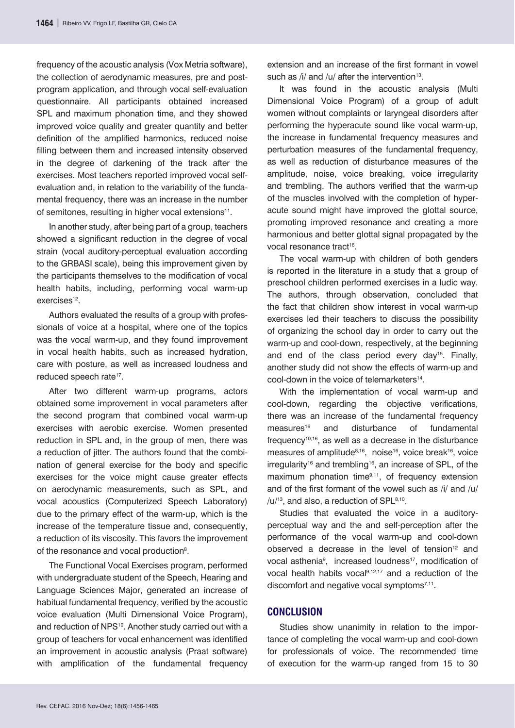frequency of the acoustic analysis (Vox Metria software), the collection of aerodynamic measures, pre and postprogram application, and through vocal self-evaluation questionnaire. All participants obtained increased SPL and maximum phonation time, and they showed improved voice quality and greater quantity and better definition of the amplified harmonics, reduced noise filling between them and increased intensity observed in the degree of darkening of the track after the exercises. Most teachers reported improved vocal selfevaluation and, in relation to the variability of the fundamental frequency, there was an increase in the number of semitones, resulting in higher vocal extensions<sup>11</sup>.

In another study, after being part of a group, teachers showed a significant reduction in the degree of vocal strain (vocal auditory-perceptual evaluation according to the GRBASI scale), being this improvement given by the participants themselves to the modification of vocal health habits, including, performing vocal warm-up exercises<sup>12</sup>.

Authors evaluated the results of a group with professionals of voice at a hospital, where one of the topics was the vocal warm-up, and they found improvement in vocal health habits, such as increased hydration, care with posture, as well as increased loudness and reduced speech rate<sup>17</sup>.

After two different warm-up programs, actors obtained some improvement in vocal parameters after the second program that combined vocal warm-up exercises with aerobic exercise. Women presented reduction in SPL and, in the group of men, there was a reduction of jitter. The authors found that the combination of general exercise for the body and specific exercises for the voice might cause greater effects on aerodynamic measurements, such as SPL, and vocal acoustics (Computerized Speech Laboratory) due to the primary effect of the warm-up, which is the increase of the temperature tissue and, consequently, a reduction of its viscosity. This favors the improvement of the resonance and vocal production<sup>8</sup>.

The Functional Vocal Exercises program, performed with undergraduate student of the Speech, Hearing and Language Sciences Major, generated an increase of habitual fundamental frequency, verified by the acoustic voice evaluation (Multi Dimensional Voice Program), and reduction of NPS<sup>10</sup>. Another study carried out with a group of teachers for vocal enhancement was identified an improvement in acoustic analysis (Praat software) with amplification of the fundamental frequency extension and an increase of the first formant in vowel such as  $/i/$  and  $/u/$  after the intervention<sup>13</sup>.

It was found in the acoustic analysis (Multi Dimensional Voice Program) of a group of adult women without complaints or laryngeal disorders after performing the hyperacute sound like vocal warm-up, the increase in fundamental frequency measures and perturbation measures of the fundamental frequency, as well as reduction of disturbance measures of the amplitude, noise, voice breaking, voice irregularity and trembling. The authors verified that the warm-up of the muscles involved with the completion of hyperacute sound might have improved the glottal source, promoting improved resonance and creating a more harmonious and better glottal signal propagated by the vocal resonance tract<sup>16</sup>.

The vocal warm-up with children of both genders is reported in the literature in a study that a group of preschool children performed exercises in a ludic way. The authors, through observation, concluded that the fact that children show interest in vocal warm-up exercises led their teachers to discuss the possibility of organizing the school day in order to carry out the warm-up and cool-down, respectively, at the beginning and end of the class period every day<sup>15</sup>. Finally, another study did not show the effects of warm-up and cool-down in the voice of telemarketers<sup>14</sup>.

With the implementation of vocal warm-up and cool-down, regarding the objective verifications, there was an increase of the fundamental frequency measures16 and disturbance of fundamental frequency<sup>10,16</sup>, as well as a decrease in the disturbance measures of amplitude<sup>8,16</sup>, noise<sup>16</sup>, voice break<sup>16</sup>, voice irregularity<sup>16</sup> and trembling<sup>16</sup>, an increase of SPL, of the maximum phonation time<sup>9,11</sup>, of frequency extension and of the first formant of the vowel such as /i/ and /u/  $/$ u $/$ <sup>13</sup>, and also, a reduction of SPL $8,10$ .

Studies that evaluated the voice in a auditoryperceptual way and the and self-perception after the performance of the vocal warm-up and cool-down observed a decrease in the level of tension $12$  and vocal asthenia<sup>9</sup>, increased loudness<sup>17</sup>, modification of vocal health habits vocal $9,12,17$  and a reduction of the discomfort and negative vocal symptoms<sup>7,11</sup>.

## **CONCLUSION**

Studies show unanimity in relation to the importance of completing the vocal warm-up and cool-down for professionals of voice. The recommended time of execution for the warm-up ranged from 15 to 30